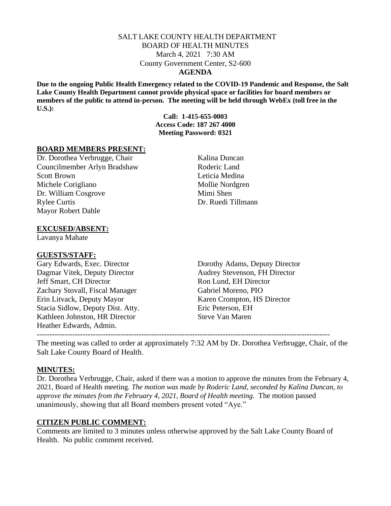#### SALT LAKE COUNTY HEALTH DEPARTMENT BOARD OF HEALTH MINUTES March 4, 2021 7:30 AM County Government Center, S2-600 **AGENDA**

**Due to the ongoing Public Health Emergency related to the COVID-19 Pandemic and Response, the Salt Lake County Health Department cannot provide physical space or facilities for board members or members of the public to attend in-person. The meeting will be held through WebEx (toll free in the U.S.):**

> **Call: 1-415-655-0003 Access Code: 187 267 4000 Meeting Password: 0321**

#### **BOARD MEMBERS PRESENT:**

Dr. Dorothea Verbrugge, Chair Kalina Duncan Councilmember Arlyn Bradshaw Roderic Land Scott Brown Leticia Medina Michele Corigliano Mollie Nordgren Dr. William Cosgrove Mimi Shen Rylee Curtis Dr. Ruedi Tillmann Mayor Robert Dahle

### **EXCUSED/ABSENT:**

Lavanya Mahate

#### **GUESTS/STAFF:**

Gary Edwards, Exec. Director Dorothy Adams, Deputy Director Dagmar Vitek, Deputy Director Audrey Stevenson, FH Director Jeff Smart, CH Director Ron Lund, EH Director Zachary Stovall, Fiscal Manager Gabriel Moreno, PIO Erin Litvack, Deputy Mayor Karen Crompton, HS Director Stacia Sidlow, Deputy Dist. Atty. Eric Peterson, EH Kathleen Johnston, HR Director Steve Van Maren Heather Edwards, Admin. -------------------------------------------------------------------------------------------------------------------

The meeting was called to order at approximately 7:32 AM by Dr. Dorothea Verbrugge, Chair, of the Salt Lake County Board of Health.

#### **MINUTES:**

Dr. Dorothea Verbrugge, Chair, asked if there was a motion to approve the minutes from the February 4, 2021, Board of Health meeting. *The motion was made by Roderic Land, seconded by Kalina Duncan, to approve the minutes from the February 4, 2021, Board of Health meeting.* The motion passed unanimously, showing that all Board members present voted "Aye."

#### **CITIZEN PUBLIC COMMENT:**

Comments are limited to 3 minutes unless otherwise approved by the Salt Lake County Board of Health. No public comment received.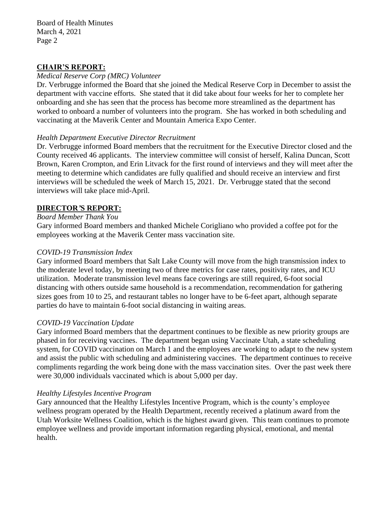Board of Health Minutes March 4, 2021 Page 2

#### **CHAIR'S REPORT:**

### *Medical Reserve Corp (MRC) Volunteer*

Dr. Verbrugge informed the Board that she joined the Medical Reserve Corp in December to assist the department with vaccine efforts. She stated that it did take about four weeks for her to complete her onboarding and she has seen that the process has become more streamlined as the department has worked to onboard a number of volunteers into the program. She has worked in both scheduling and vaccinating at the Maverik Center and Mountain America Expo Center.

### *Health Department Executive Director Recruitment*

Dr. Verbrugge informed Board members that the recruitment for the Executive Director closed and the County received 46 applicants. The interview committee will consist of herself, Kalina Duncan, Scott Brown, Karen Crompton, and Erin Litvack for the first round of interviews and they will meet after the meeting to determine which candidates are fully qualified and should receive an interview and first interviews will be scheduled the week of March 15, 2021. Dr. Verbrugge stated that the second interviews will take place mid-April.

### **DIRECTOR***'***S REPORT:**

### *Board Member Thank You*

Gary informed Board members and thanked Michele Corigliano who provided a coffee pot for the employees working at the Maverik Center mass vaccination site.

### *COVID-19 Transmission Index*

Gary informed Board members that Salt Lake County will move from the high transmission index to the moderate level today, by meeting two of three metrics for case rates, positivity rates, and ICU utilization. Moderate transmission level means face coverings are still required, 6-foot social distancing with others outside same household is a recommendation, recommendation for gathering sizes goes from 10 to 25, and restaurant tables no longer have to be 6-feet apart, although separate parties do have to maintain 6-foot social distancing in waiting areas.

# *COVID-19 Vaccination Update*

Gary informed Board members that the department continues to be flexible as new priority groups are phased in for receiving vaccines. The department began using Vaccinate Utah, a state scheduling system, for COVID vaccination on March 1 and the employees are working to adapt to the new system and assist the public with scheduling and administering vaccines. The department continues to receive compliments regarding the work being done with the mass vaccination sites. Over the past week there were 30,000 individuals vaccinated which is about 5,000 per day.

# *Healthy Lifestyles Incentive Program*

Gary announced that the Healthy Lifestyles Incentive Program, which is the county's employee wellness program operated by the Health Department, recently received a platinum award from the Utah Worksite Wellness Coalition, which is the highest award given. This team continues to promote employee wellness and provide important information regarding physical, emotional, and mental health.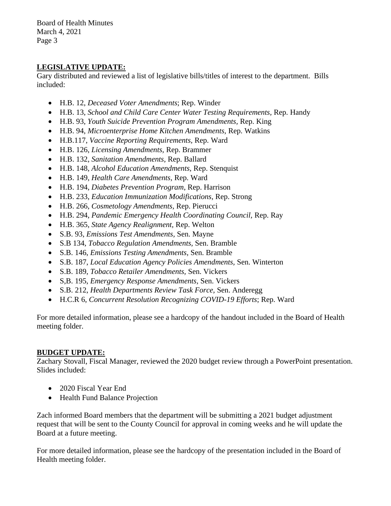Board of Health Minutes March 4, 2021 Page 3

# **LEGISLATIVE UPDATE:**

Gary distributed and reviewed a list of legislative bills/titles of interest to the department. Bills included:

- H.B. 12, *Deceased Voter Amendments*; Rep. Winder
- H.B. 13, *School and Child Care Center Water Testing Requirements,* Rep. Handy
- H.B. 93, *Youth Suicide Prevention Program Amendments,* Rep. King
- H.B. 94, *Microenterprise Home Kitchen Amendments,* Rep. Watkins
- H.B.117, *Vaccine Reporting Requirements,* Rep. Ward
- H.B. 126, *Licensing Amendments,* Rep. Brammer
- H.B. 132, *Sanitation Amendments,* Rep. Ballard
- H.B. 148, *Alcohol Education Amendments,* Rep. Stenquist
- H.B. 149, *Health Care Amendments,* Rep. Ward
- H.B. 194, *Diabetes Prevention Program*, Rep. Harrison
- H.B. 233, *Education Immunization Modifications*, Rep. Strong
- H.B. 266, *Cosmetology Amendments,* Rep. Pierucci
- H.B. 294, *Pandemic Emergency Health Coordinating Council,* Rep. Ray
- H.B. 365, *State Agency Realignment,* Rep. Welton
- S.B. 93, *Emissions Test Amendments,* Sen. Mayne
- S.B 134, *Tobacco Regulation Amendments,* Sen. Bramble
- S.B. 146, *Emissions Testing Amendments,* Sen. Bramble
- S.B. 187, *Local Education Agency Policies Amendments,* Sen. Winterton
- S.B. 189, *Tobacco Retailer Amendments,* Sen. Vickers
- S,B. 195, *Emergency Response Amendments,* Sen. Vickers
- S.B. 212, *Health Departments Review Task Force,* Sen. Anderegg
- H.C.R 6, *Concurrent Resolution Recognizing COVID-19 Efforts*; Rep. Ward

For more detailed information, please see a hardcopy of the handout included in the Board of Health meeting folder.

# **BUDGET UPDATE:**

Zachary Stovall, Fiscal Manager, reviewed the 2020 budget review through a PowerPoint presentation. Slides included:

- 2020 Fiscal Year End
- Health Fund Balance Projection

Zach informed Board members that the department will be submitting a 2021 budget adjustment request that will be sent to the County Council for approval in coming weeks and he will update the Board at a future meeting.

For more detailed information, please see the hardcopy of the presentation included in the Board of Health meeting folder.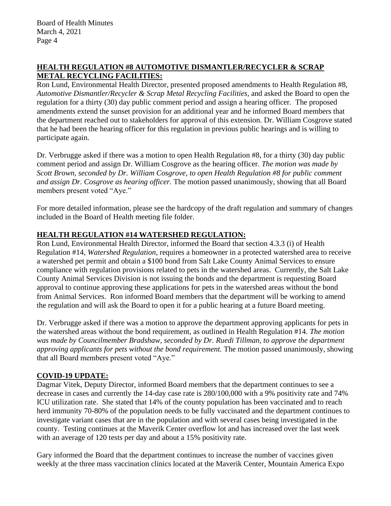# **HEALTH REGULATION #8 AUTOMOTIVE DISMANTLER/RECYCLER & SCRAP METAL RECYCLING FACILITIES:**

Ron Lund, Environmental Health Director, presented proposed amendments to Health Regulation #8, *Automotive Dismantler/Recycler & Scrap Metal Recycling Facilities,* and asked the Board to open the regulation for a thirty (30) day public comment period and assign a hearing officer. The proposed amendments extend the sunset provision for an additional year and he informed Board members that the department reached out to stakeholders for approval of this extension. Dr. William Cosgrove stated that he had been the hearing officer for this regulation in previous public hearings and is willing to participate again.

Dr. Verbrugge asked if there was a motion to open Health Regulation #8, for a thirty (30) day public comment period and assign Dr. William Cosgrove as the hearing officer. *The motion was made by Scott Brown, seconded by Dr. William Cosgrove, to open Health Regulation #8 for public comment and assign Dr. Cosgrove as hearing officer.* The motion passed unanimously, showing that all Board members present voted "Aye."

For more detailed information, please see the hardcopy of the draft regulation and summary of changes included in the Board of Health meeting file folder.

# **HEALTH REGULATION #14 WATERSHED REGULATION:**

Ron Lund, Environmental Health Director, informed the Board that section 4.3.3 (i) of Health Regulation #14, *Watershed Regulation,* requires a homeowner in a protected watershed area to receive a watershed pet permit and obtain a \$100 bond from Salt Lake County Animal Services to ensure compliance with regulation provisions related to pets in the watershed areas. Currently, the Salt Lake County Animal Services Division is not issuing the bonds and the department is requesting Board approval to continue approving these applications for pets in the watershed areas without the bond from Animal Services. Ron informed Board members that the department will be working to amend the regulation and will ask the Board to open it for a public hearing at a future Board meeting.

Dr. Verbrugge asked if there was a motion to approve the department approving applicants for pets in the watershed areas without the bond requirement, as outlined in Health Regulation #14. *The motion was made by Councilmember Bradshaw, seconded by Dr. Ruedi Tillman, to approve the department approving applicants for pets without the bond requirement.* The motion passed unanimously, showing that all Board members present voted "Aye."

# **COVID-19 UPDATE:**

Dagmar Vitek, Deputy Director, informed Board members that the department continues to see a decrease in cases and currently the 14-day case rate is 280/100,000 with a 9% positivity rate and 74% ICU utilization rate. She stated that 14% of the county population has been vaccinated and to reach herd immunity 70-80% of the population needs to be fully vaccinated and the department continues to investigate variant cases that are in the population and with several cases being investigated in the county. Testing continues at the Maverik Center overflow lot and has increased over the last week with an average of 120 tests per day and about a 15% positivity rate.

Gary informed the Board that the department continues to increase the number of vaccines given weekly at the three mass vaccination clinics located at the Maverik Center, Mountain America Expo